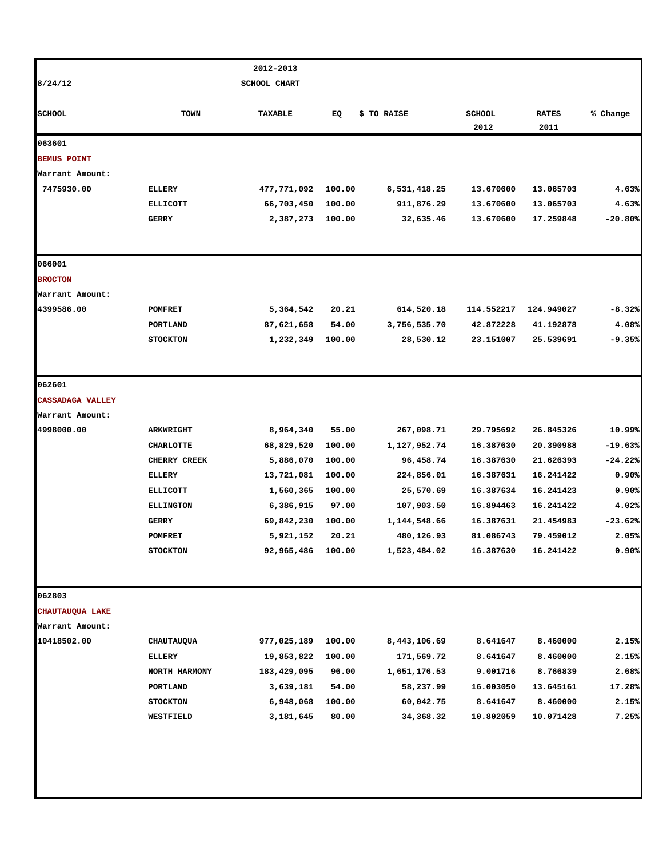|                         |                                   | 2012-2013               |                 |                            |                        |                        |                |
|-------------------------|-----------------------------------|-------------------------|-----------------|----------------------------|------------------------|------------------------|----------------|
| 8/24/12                 |                                   | <b>SCHOOL CHART</b>     |                 |                            |                        |                        |                |
| <b>SCHOOL</b>           | TOWN                              | TAXABLE                 | EQ              | \$ TO RAISE                | <b>SCHOOL</b><br>2012  | <b>RATES</b><br>2011   | % Change       |
| 063601                  |                                   |                         |                 |                            |                        |                        |                |
| <b>BEMUS POINT</b>      |                                   |                         |                 |                            |                        |                        |                |
| Warrant Amount:         |                                   |                         |                 |                            |                        |                        |                |
| 7475930.00              | ELLERY                            | 477,771,092             | 100.00          | 6,531,418.25               | 13.670600              | 13.065703              | 4.63%          |
|                         | <b>ELLICOTT</b>                   | 66,703,450              | 100.00          | 911,876.29                 | 13.670600              | 13.065703              | 4.63%          |
|                         | <b>GERRY</b>                      | 2,387,273               | 100.00          | 32,635.46                  | 13.670600              | 17.259848              | $-20.80%$      |
| 066001                  |                                   |                         |                 |                            |                        |                        |                |
| <b>BROCTON</b>          |                                   |                         |                 |                            |                        |                        |                |
| Warrant Amount:         |                                   |                         |                 |                            |                        |                        |                |
| 4399586.00              | <b>POMFRET</b>                    | 5,364,542               | 20.21           | 614,520.18                 | 114.552217             | 124.949027             | $-8.32%$       |
|                         | PORTLAND                          | 87,621,658              | 54.00           | 3,756,535.70               | 42.872228              | 41.192878              | 4.08%          |
|                         | <b>STOCKTON</b>                   | 1,232,349               | 100.00          | 28,530.12                  | 23.151007              | 25.539691              | -9.35%         |
| 062601                  |                                   |                         |                 |                            |                        |                        |                |
| <b>CASSADAGA VALLEY</b> |                                   |                         |                 |                            |                        |                        |                |
| Warrant Amount:         |                                   |                         |                 |                            |                        |                        |                |
| 4998000.00              | <b>ARKWRIGHT</b>                  | 8,964,340               | 55.00           | 267,098.71                 | 29.795692              | 26.845326              | 10.99%         |
|                         | <b>CHARLOTTE</b>                  | 68,829,520              | 100.00          | 1,127,952.74               | 16.387630              | 20.390988              | $-19.63%$      |
|                         | CHERRY CREEK                      | 5,886,070               | 100.00          | 96,458.74                  | 16.387630              | 21.626393              | $-24.22%$      |
|                         | <b>ELLERY</b>                     | 13,721,081              | 100.00          | 224,856.01                 | 16.387631              | 16.241422              | 0.90%          |
|                         | <b>ELLICOTT</b>                   | 1,560,365               | 100.00          | 25,570.69                  | 16.387634              | 16.241423              | 0.90%          |
|                         | <b>ELLINGTON</b>                  | 6,386,915               | 97.00           | 107,903.50                 | 16.894463              | 16.241422              | 4.02%          |
|                         | <b>GERRY</b>                      | 69,842,230              | 100.00          | 1,144,548.66               | 16.387631              | 21.454983              | $-23.62%$      |
|                         | <b>POMFRET</b><br><b>STOCKTON</b> | 5,921,152<br>92,965,486 | 20.21<br>100.00 | 480,126.93<br>1,523,484.02 | 81.086743<br>16.387630 | 79.459012<br>16.241422 | 2.05%<br>0.90% |
|                         |                                   |                         |                 |                            |                        |                        |                |
| 062803                  |                                   |                         |                 |                            |                        |                        |                |
| CHAUTAUQUA LAKE         |                                   |                         |                 |                            |                        |                        |                |
| Warrant Amount:         |                                   |                         |                 |                            |                        |                        |                |
| 10418502.00             | <b>CHAUTAUQUA</b>                 | 977,025,189             | 100.00          | 8,443,106.69               | 8.641647               | 8.460000               | 2.15%          |
|                         | ELLERY                            | 19,853,822              | 100.00          | 171,569.72                 | 8.641647               | 8.460000               | 2.15%          |
|                         | NORTH HARMONY                     | 183,429,095             | 96.00           | 1,651,176.53               | 9.001716               | 8.766839               | 2.68%          |
|                         | PORTLAND                          | 3,639,181               | 54.00           | 58,237.99                  | 16.003050              | 13.645161              | 17.28%         |
|                         | <b>STOCKTON</b>                   | 6,948,068               | 100.00          | 60,042.75                  | 8.641647               | 8.460000               | 2.15%<br>7.25% |
|                         | <b>WESTFIELD</b>                  | 3,181,645               | 80.00           | 34,368.32                  | 10.802059              | 10.071428              |                |
|                         |                                   |                         |                 |                            |                        |                        |                |
|                         |                                   |                         |                 |                            |                        |                        |                |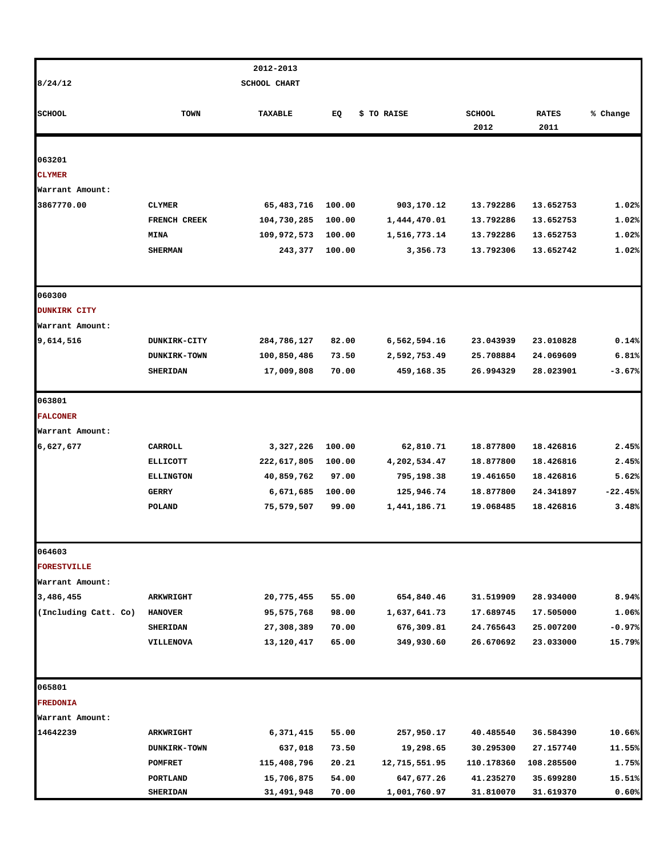|                         |                     | 2012-2013           |        |               |                       |                      |           |
|-------------------------|---------------------|---------------------|--------|---------------|-----------------------|----------------------|-----------|
| 8/24/12                 |                     | <b>SCHOOL CHART</b> |        |               |                       |                      |           |
| <b>SCHOOL</b>           | <b>TOWN</b>         | <b>TAXABLE</b>      | EQ     | \$ TO RAISE   | <b>SCHOOL</b><br>2012 | <b>RATES</b><br>2011 | % Change  |
|                         |                     |                     |        |               |                       |                      |           |
| 063201<br><b>CLYMER</b> |                     |                     |        |               |                       |                      |           |
| Warrant Amount:         |                     |                     |        |               |                       |                      |           |
| 3867770.00              | <b>CLYMER</b>       | 65,483,716          | 100.00 | 903,170.12    | 13.792286             | 13.652753            | 1.02%     |
|                         | FRENCH CREEK        | 104,730,285         | 100.00 | 1,444,470.01  | 13.792286             | 13.652753            | 1.02%     |
|                         | <b>MINA</b>         | 109,972,573         | 100.00 | 1,516,773.14  | 13.792286             | 13.652753            | 1.02%     |
|                         | <b>SHERMAN</b>      | 243,377             | 100.00 | 3,356.73      | 13.792306             | 13.652742            | 1.02%     |
| 060300                  |                     |                     |        |               |                       |                      |           |
| <b>DUNKIRK CITY</b>     |                     |                     |        |               |                       |                      |           |
| Warrant Amount:         |                     |                     |        |               |                       |                      |           |
| 9,614,516               | <b>DUNKIRK-CITY</b> | 284,786,127         | 82.00  | 6,562,594.16  | 23.043939             | 23.010828            | 0.14%     |
|                         | <b>DUNKIRK-TOWN</b> | 100,850,486         | 73.50  | 2,592,753.49  | 25.708884             | 24.069609            | 6.81%     |
|                         | <b>SHERIDAN</b>     | 17,009,808          | 70.00  | 459,168.35    | 26.994329             | 28.023901            | $-3.67%$  |
| 063801                  |                     |                     |        |               |                       |                      |           |
| <b>FALCONER</b>         |                     |                     |        |               |                       |                      |           |
| Warrant Amount:         |                     |                     |        |               |                       |                      |           |
| 6,627,677               | CARROLL             | 3,327,226           | 100.00 | 62,810.71     | 18.877800             | 18.426816            | 2.45%     |
|                         | <b>ELLICOTT</b>     | 222,617,805         | 100.00 | 4,202,534.47  | 18.877800             | 18.426816            | 2.45%     |
|                         | <b>ELLINGTON</b>    | 40,859,762          | 97.00  | 795,198.38    | 19.461650             | 18.426816            | 5.62%     |
|                         | GERRY               | 6,671,685           | 100.00 | 125,946.74    | 18.877800             | 24.341897            | $-22.45%$ |
|                         | POLAND              | 75,579,507          | 99.00  | 1,441,186.71  | 19.068485             | 18.426816            | 3.48%     |
| 064603                  |                     |                     |        |               |                       |                      |           |
| <b>FORESTVILLE</b>      |                     |                     |        |               |                       |                      |           |
| Warrant Amount:         |                     |                     |        |               |                       |                      |           |
| 3,486,455               | ARKWRIGHT           | 20,775,455          | 55.00  | 654,840.46    | 31.519909             | 28.934000            | 8.94%     |
| (Including Catt. Co)    | <b>HANOVER</b>      | 95,575,768          | 98.00  | 1,637,641.73  | 17.689745             | 17.505000            | 1.06%     |
|                         | <b>SHERIDAN</b>     | 27,308,389          | 70.00  | 676,309.81    | 24.765643             | 25.007200            | $-0.97%$  |
|                         | VILLENOVA           | 13,120,417          | 65.00  | 349,930.60    | 26.670692             | 23.033000            | 15.79%    |
| 065801                  |                     |                     |        |               |                       |                      |           |
| <b>FREDONIA</b>         |                     |                     |        |               |                       |                      |           |
| Warrant Amount:         |                     |                     |        |               |                       |                      |           |
| 14642239                | <b>ARKWRIGHT</b>    | 6,371,415           | 55.00  | 257,950.17    | 40.485540             | 36.584390            | 10.66%    |
|                         | DUNKIRK-TOWN        | 637,018             | 73.50  | 19,298.65     | 30.295300             | 27.157740            | 11.55%    |
|                         | POMFRET             | 115,408,796         | 20.21  | 12,715,551.95 | 110.178360            | 108.285500           | 1.75%     |
|                         | PORTLAND            | 15,706,875          | 54.00  | 647,677.26    | 41.235270             | 35.699280            | 15.51%    |
|                         | <b>SHERIDAN</b>     | 31,491,948          | 70.00  | 1,001,760.97  | 31.810070             | 31.619370            | 0.60%     |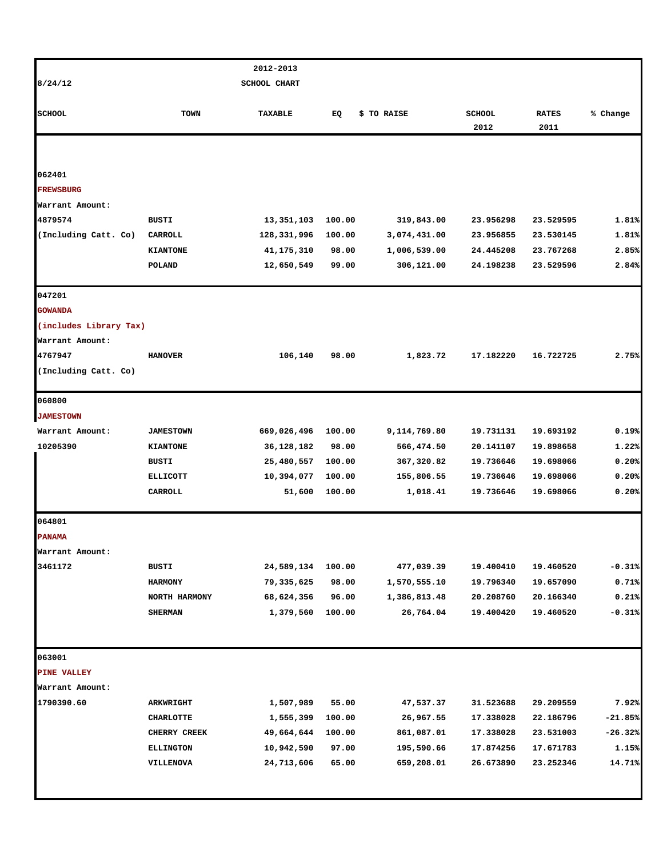|                        |                     | 2012-2013                |        |              |                        |              |           |
|------------------------|---------------------|--------------------------|--------|--------------|------------------------|--------------|-----------|
| 8/24/12                |                     | <b>SCHOOL CHART</b>      |        |              |                        |              |           |
|                        |                     |                          |        |              |                        |              |           |
| <b>SCHOOL</b>          | TOWN                | TAXABLE                  | EQ     | \$ TO RAISE  | <b>SCHOOL</b>          | <b>RATES</b> | % Change  |
|                        |                     |                          |        |              | 2012                   | 2011         |           |
|                        |                     |                          |        |              |                        |              |           |
| 062401                 |                     |                          |        |              |                        |              |           |
| <b>FREWSBURG</b>       |                     |                          |        |              |                        |              |           |
| Warrant Amount:        |                     |                          |        |              |                        |              |           |
| 4879574                | BUSTI               | 13,351,103               | 100.00 | 319,843.00   | 23.956298              | 23.529595    | 1.81%     |
| (Including Catt. Co)   | CARROLL             | 128,331,996              | 100.00 | 3,074,431.00 | 23.956855              | 23.530145    | 1.81%     |
|                        | <b>KIANTONE</b>     | 41, 175, 310             | 98.00  | 1,006,539.00 | 24.445208              | 23.767268    | 2.85%     |
|                        | POLAND              | 12,650,549               | 99.00  | 306,121.00   | 24.198238              | 23.529596    | 2.84%     |
| 047201                 |                     |                          |        |              |                        |              |           |
| <b>GOWANDA</b>         |                     |                          |        |              |                        |              |           |
| (includes Library Tax) |                     |                          |        |              |                        |              |           |
| Warrant Amount:        |                     |                          |        |              |                        |              |           |
| 4767947                | <b>HANOVER</b>      | 106,140                  | 98.00  | 1,823.72     | 17.182220              | 16.722725    | 2.75%     |
| (Including Catt. Co)   |                     |                          |        |              |                        |              |           |
| 060800                 |                     |                          |        |              |                        |              |           |
| <b>JAMESTOWN</b>       |                     |                          |        |              |                        |              |           |
| Warrant Amount:        | <b>JAMESTOWN</b>    | 669,026,496              | 100.00 | 9,114,769.80 | 19.731131              | 19.693192    | 0.19%     |
| 10205390               | <b>KIANTONE</b>     | 36,128,182               | 98.00  | 566,474.50   | 20.141107              | 19.898658    | 1.22%     |
|                        | BUSTI               | 25,480,557               | 100.00 | 367,320.82   | 19.736646              | 19.698066    | 0.20%     |
|                        | <b>ELLICOTT</b>     | 10,394,077               | 100.00 | 155,806.55   | 19.736646              | 19.698066    | 0.20%     |
|                        | CARROLL             | 51,600                   | 100.00 | 1,018.41     | 19.736646              | 19.698066    | 0.20%     |
| 064801                 |                     |                          |        |              |                        |              |           |
| <b>PANAMA</b>          |                     |                          |        |              |                        |              |           |
| Warrant Amount:        |                     |                          |        |              |                        |              |           |
| 3461172                | <b>BUSTI</b>        | 24,589,134               | 100.00 | 477,039.39   | 19.400410              | 19.460520    | $-0.31%$  |
|                        | <b>HARMONY</b>      | 79,335,625               | 98.00  | 1,570,555.10 | 19.796340              | 19.657090    | 0.71%     |
|                        | NORTH HARMONY       | 68,624,356               | 96.00  | 1,386,813.48 | 20.208760              | 20.166340    | 0.21%     |
|                        | <b>SHERMAN</b>      | 1,379,560                | 100.00 | 26,764.04    | 19.400420              | 19.460520    | $-0.31%$  |
| 063001                 |                     |                          |        |              |                        |              |           |
| PINE VALLEY            |                     |                          |        |              |                        |              |           |
| Warrant Amount:        |                     |                          |        |              |                        |              |           |
| 1790390.60             | <b>ARKWRIGHT</b>    | 1,507,989                | 55.00  | 47,537.37    | 31.523688              | 29.209559    | 7.92%     |
|                        | <b>CHARLOTTE</b>    | 1,555,399                | 100.00 | 26,967.55    | 17.338028              | 22.186796    | $-21.85%$ |
|                        | <b>CHERRY CREEK</b> | 49,664,644               | 100.00 | 861,087.01   | 17.338028              | 23.531003    | $-26.32%$ |
|                        | <b>ELLINGTON</b>    |                          | 97.00  | 195,590.66   |                        | 17.671783    | 1.15%     |
|                        |                     | 10,942,590<br>24,713,606 |        | 659,208.01   | 17.874256<br>26.673890 |              | 14.71%    |
|                        | VILLENOVA           |                          | 65.00  |              |                        | 23.252346    |           |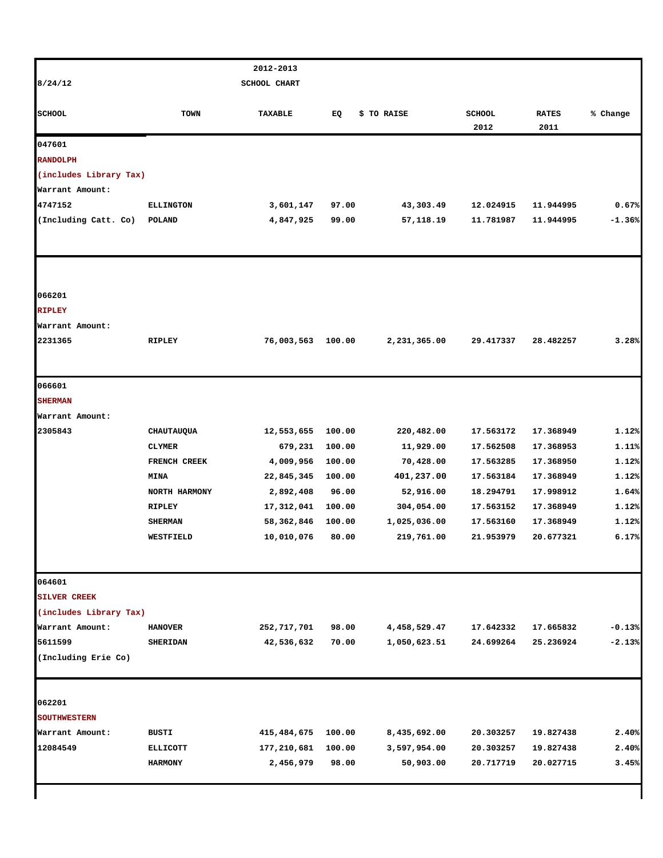|                        |                  | 2012-2013    |        |              |               |              |          |
|------------------------|------------------|--------------|--------|--------------|---------------|--------------|----------|
| 8/24/12                |                  | SCHOOL CHART |        |              |               |              |          |
|                        |                  |              |        |              |               |              |          |
| <b>SCHOOL</b>          | <b>TOWN</b>      | TAXABLE      | EQ     | \$ TO RAISE  | <b>SCHOOL</b> | <b>RATES</b> | % Change |
|                        |                  |              |        |              | 2012          | 2011         |          |
| 047601                 |                  |              |        |              |               |              |          |
| <b>RANDOLPH</b>        |                  |              |        |              |               |              |          |
| (includes Library Tax) |                  |              |        |              |               |              |          |
| Warrant Amount:        |                  |              |        |              |               |              |          |
| 4747152                | <b>ELLINGTON</b> | 3,601,147    | 97.00  | 43,303.49    | 12.024915     | 11.944995    | 0.67%    |
| (Including Catt. Co)   | POLAND           | 4,847,925    | 99.00  | 57,118.19    | 11.781987     | 11.944995    | $-1.36%$ |
|                        |                  |              |        |              |               |              |          |
|                        |                  |              |        |              |               |              |          |
| 066201                 |                  |              |        |              |               |              |          |
| <b>RIPLEY</b>          |                  |              |        |              |               |              |          |
| Warrant Amount:        |                  |              |        |              |               |              |          |
| 2231365                | <b>RIPLEY</b>    | 76,003,563   | 100.00 | 2,231,365.00 | 29.417337     | 28.482257    | 3.28%    |
|                        |                  |              |        |              |               |              |          |
| 066601                 |                  |              |        |              |               |              |          |
| <b>SHERMAN</b>         |                  |              |        |              |               |              |          |
| Warrant Amount:        |                  |              |        |              |               |              |          |
| 2305843                | CHAUTAUQUA       | 12,553,655   | 100.00 | 220,482.00   | 17.563172     | 17.368949    | 1.12%    |
|                        | <b>CLYMER</b>    | 679,231      | 100.00 | 11,929.00    | 17.562508     | 17.368953    | 1.11%    |
|                        | FRENCH CREEK     | 4,009,956    | 100.00 | 70,428.00    | 17.563285     | 17.368950    | 1.12%    |
|                        | <b>MINA</b>      | 22,845,345   | 100.00 | 401,237.00   | 17.563184     | 17.368949    | 1.12%    |
|                        | NORTH HARMONY    | 2,892,408    | 96.00  | 52,916.00    | 18.294791     | 17.998912    | 1.64%    |
|                        | <b>RIPLEY</b>    | 17,312,041   | 100.00 | 304,054.00   | 17.563152     | 17.368949    | 1.12%    |
|                        | <b>SHERMAN</b>   | 58,362,846   | 100.00 | 1,025,036.00 | 17.563160     | 17.368949    | 1.12%    |
|                        | WESTFIELD        | 10,010,076   | 80.00  | 219,761.00   | 21.953979     | 20.677321    | 6.17%    |
| 064601                 |                  |              |        |              |               |              |          |
| <b>SILVER CREEK</b>    |                  |              |        |              |               |              |          |
| (includes Library Tax) |                  |              |        |              |               |              |          |
| Warrant Amount:        | <b>HANOVER</b>   | 252,717,701  | 98.00  | 4,458,529.47 | 17.642332     | 17.665832    | $-0.13%$ |
| 5611599                | <b>SHERIDAN</b>  | 42,536,632   | 70.00  | 1,050,623.51 | 24.699264     | 25.236924    | $-2.13%$ |
| (Including Erie Co)    |                  |              |        |              |               |              |          |
|                        |                  |              |        |              |               |              |          |
| 062201                 |                  |              |        |              |               |              |          |
| <b>SOUTHWESTERN</b>    |                  |              |        |              |               |              |          |
| Warrant Amount:        | BUSTI            | 415,484,675  | 100.00 | 8,435,692.00 | 20.303257     | 19.827438    | 2.40%    |
| 12084549               | <b>ELLICOTT</b>  | 177,210,681  | 100.00 | 3,597,954.00 | 20.303257     | 19.827438    | 2.40%    |
|                        | <b>HARMONY</b>   | 2,456,979    | 98.00  | 50,903.00    | 20.717719     | 20.027715    | 3.45%    |
|                        |                  |              |        |              |               |              |          |